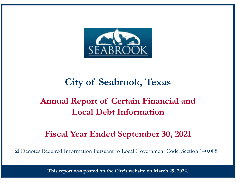

# **City of Seabrook, Texas**

# **Annual Report of Certain Financial and Local Debt Information**

# **Fiscal Year Ended September 30, 2021**

Denotes Required Information Pursuant to Local Government Code, Section 140.008

**This report was posted on the City's website on March 29, 2022.**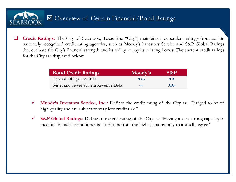

 $\Box$ **Credit Ratings:** The City of Seabrook, Texas (the "City") maintains independent ratings from certain nationally recognized credit rating agencies, such as Moody's Investors Service and S&P Global Ratings that evaluate the City's financial strength and its ability to pay its existing bonds. The current credit ratings for the City are displayed below:

| <b>Bond Credit Ratings</b>          | Moody's | S&P       |
|-------------------------------------|---------|-----------|
| <b>General Obligation Debt</b>      | Aa3     | <b>AA</b> |
| Water and Sewer System Revenue Debt | ---     | $AA-$     |

- $\checkmark$  **Moody's Investors Service, Inc.:** Defines the credit rating of the City as: "Judged to be of high quality and are subject to very low credit risk."
- $\checkmark$  **S&P Global Ratings:** Defines the credit rating of the City as: "Having <sup>a</sup> very strong capacity to meet its financial commitments. It differs from the highest-rating only to <sup>a</sup> small degree."

1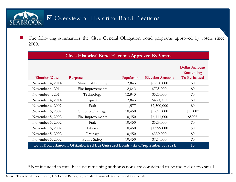#### Overview of Historical Bond Elections **SEA**

**September**  The following summarizes the City's General Obligation bond programs approved by voters since 2000:

| <b>City's Historical Bond Elections Approved By Voters</b>                       |                    |            |                        |                                                          |  |  |  |  |  |
|----------------------------------------------------------------------------------|--------------------|------------|------------------------|----------------------------------------------------------|--|--|--|--|--|
| <b>Election Date</b>                                                             | Purpose            | Population | <b>Election Amount</b> | <b>Dollar Amount</b><br>Remaining<br><b>To Be Issued</b> |  |  |  |  |  |
| November 4, 2014                                                                 | Municipal Building | 12,843     | \$6,850,000            | \$0                                                      |  |  |  |  |  |
| November 4, 2014                                                                 | Fire Improvements  | 12,843     | \$725,000              | \$0                                                      |  |  |  |  |  |
| November 4, 2014                                                                 | Technology         | 12,843     | \$525,000              | \$0                                                      |  |  |  |  |  |
| November 4, 2014                                                                 | Aquatic            | 12,843     | \$450,000              | \$0                                                      |  |  |  |  |  |
| November 6, 2007                                                                 | Park               | 11,577     | \$2,500,000            | \$0                                                      |  |  |  |  |  |
| November 5, 2002                                                                 | Street & Drainage  | 10,450     | \$5,025,000            | $$1,500*$                                                |  |  |  |  |  |
| November 5, 2002                                                                 | Fire Improvements  | 10,450     | \$6,111,000            | \$500*                                                   |  |  |  |  |  |
| November 5, 2002                                                                 | Park               | 10,450     | \$523,000              | \$0                                                      |  |  |  |  |  |
| November 5, 2002                                                                 | Library            | 10,450     | \$1,299,000            | \$0                                                      |  |  |  |  |  |
| November 5, 2002                                                                 | Drainage           | 10,450     | \$330,000              | \$0                                                      |  |  |  |  |  |
| November 5, 2002                                                                 | Public Safety      | 10,450     | \$724,000              | \$0                                                      |  |  |  |  |  |
| Total Dollar Amount Of Authorized But Unissued Bonds - As of September 30, 2021: | \$0                |            |                        |                                                          |  |  |  |  |  |

\* Not included in total because remaining authorizations are considered to be too old or too small.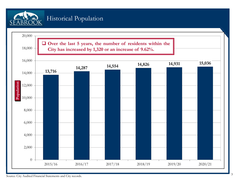

#### Historical Population



Source: City Audited Financial Statements and City records.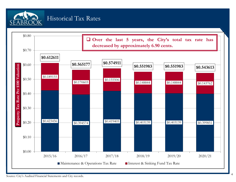

#### Historical Tax Rates

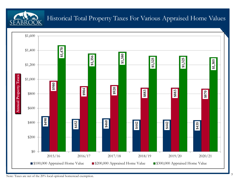

## Historical Total Property Taxes For Various Appraised Home Values



Note: Taxes are net of the 20% local optional homestead exemption.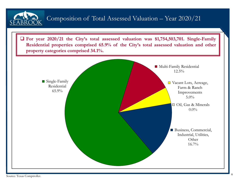

Source: Texas Comptroller.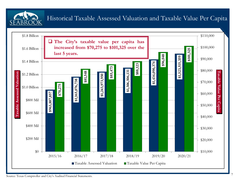Historical Taxable Assessed Valuation and Taxable Value Per Capita

![](_page_7_Figure_1.jpeg)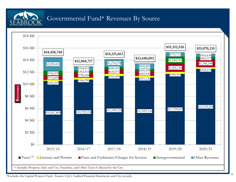![](_page_8_Picture_0.jpeg)

#### Governmental Fund\* Revenues By Source

![](_page_8_Figure_2.jpeg)

\*Excludes the Capital Projects Fund. Source: City's Audited Financial Statements and City records.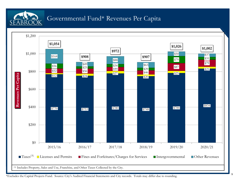![](_page_9_Picture_0.jpeg)

#### Governmental Fund\* Revenues Per Capita

![](_page_9_Figure_2.jpeg)

\*Excludes the Capital Projects Fund. Source: City's Audited Financial Statements and City records. Totals may differ due to rounding.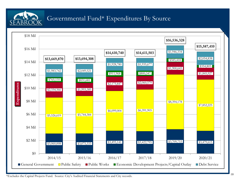![](_page_10_Picture_0.jpeg)

#### Governmental Fund\* Expenditures By Source

![](_page_10_Figure_2.jpeg)

\*Excludes the Capital Projects Fund. Source: City's Audited Financial Statements and City records.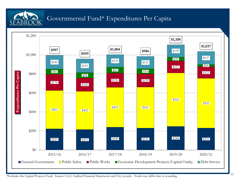![](_page_11_Picture_0.jpeg)

#### Governmental Fund\* Expenditures Per Capita

![](_page_11_Figure_2.jpeg)

\*Excludes the Capital Projects Fund. Source: City's Audited Financial Statements and City records. Totals may differ due to rounding.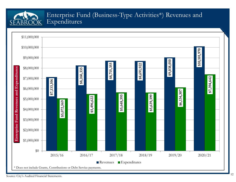# SEABROOK

#### Enterprise Fund (Business-Type Activities\*) Revenues and Expenditures

![](_page_12_Figure_2.jpeg)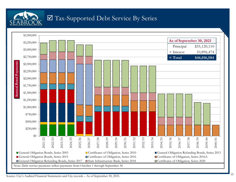![](_page_13_Picture_0.jpeg)

#### Tax-Supported Debt Service By Series

![](_page_13_Figure_2.jpeg)

Source: City's Audited Financial Statements and City records – As of September 30, 2021.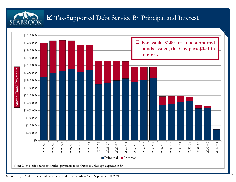![](_page_14_Picture_0.jpeg)

#### Tax-Supported Debt Service By Principal and Interest

![](_page_14_Figure_2.jpeg)

Source: City's Audited Financial Statements and City records – As of September 30, 2021.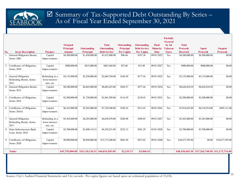![](_page_15_Picture_0.jpeg)

#### Summary of Tax-Supported Debt Outstanding By Series – As of Fiscal Year Ended September 30, 2021

|                |                             |                |                 |                    |                                 |                    |                     |                 | <b>Partially</b><br><b>Secured</b> |                 |                                 |                 |
|----------------|-----------------------------|----------------|-----------------|--------------------|---------------------------------|--------------------|---------------------|-----------------|------------------------------------|-----------------|---------------------------------|-----------------|
|                |                             |                | Original        |                    | <b>Total</b>                    | <b>Outstanding</b> | Outstanding         | <b>Final</b>    | by Ad                              | <b>Total</b>    |                                 |                 |
|                |                             |                | Principal       | <b>Outstanding</b> | <b>Outstanding</b>              | <b>Principal</b>   | <b>Debt Service</b> | <b>Maturity</b> | <b>Valorem</b>                     | <b>Proceeds</b> | <b>Spent</b>                    | <b>Unspent</b>  |
| No.            | <b>Issue Description</b>    | <b>Purpose</b> | <b>Amount</b>   | <b>Principal</b>   | <b>Debt Service</b>             | <b>Per Capita</b>  | <b>Per Capita</b>   | <b>Date</b>     | <b>Taxes</b>                       | <b>Received</b> | <b>Proceeds</b>                 | <b>Proceeds</b> |
|                | General Obligation Bonds,   | Capital        | \$4,500,000.00  | \$1,450,000.00     | \$1,612,800.00                  | \$96.44            | \$107.26            | 09/01/2025      | Yes                                | \$4,500,000.00  | \$4,500,000.00                  | \$0.00          |
|                | Series 2003                 | Improvements   |                 |                    |                                 |                    |                     |                 |                                    |                 |                                 |                 |
|                | Certificates of Obligation, | Capital        | \$900,000.00    | \$415,000.00       | \$467,444.80                    | \$27.60            | \$31.09             | 09/01/2027      | Yes                                | \$900,000.00    | \$900,000.00                    | \$0.00          |
|                | Series 2010                 | Improvements   |                 |                    |                                 |                    |                     |                 |                                    |                 |                                 |                 |
|                |                             |                |                 |                    |                                 |                    |                     |                 |                                    |                 |                                 |                 |
| $\overline{3}$ | General Obligation          | Refunding at a | \$5,155,000.00  | \$2,550,000.00     | \$2,669,784.00                  | \$169.59           | \$177.56            | 09/01/2025      | Yes                                | \$5,155,000.00  | \$5,155,000.00                  | \$0.00          |
|                | Refunding Bonds, Series     | lower interest |                 |                    |                                 |                    |                     |                 |                                    |                 |                                 |                 |
|                | 2013                        | rate, etc.     |                 |                    |                                 |                    |                     |                 |                                    |                 |                                 |                 |
|                | General Obligation Bonds,   | Capital        | \$8,380,000.00  | \$6,865,000.00     | \$8,682,425.00                  | \$456.57           | \$577.44            | 09/01/2034      | Yes                                | \$8,626,834.50  | \$8,626,834.50                  | \$0.00          |
|                | Series 2015                 | Improvements   |                 |                    |                                 |                    |                     |                 |                                    |                 |                                 |                 |
|                |                             |                |                 |                    |                                 |                    |                     |                 |                                    |                 |                                 |                 |
|                | Certificates of Obligation, | Capital        | \$2,500,000.00  | \$1,750,000.00     | \$1,961,509.00                  | \$116.39           | \$130.45            | 09/01/2031      | Yes                                | \$2,500,000.00  | \$2,500,000.00                  | \$0.00          |
|                | Series 2016                 | Improvements   |                 |                    |                                 |                    |                     |                 |                                    |                 |                                 |                 |
|                |                             |                |                 |                    |                                 |                    |                     |                 |                                    |                 |                                 |                 |
| 6              | Certificates of Obligation, | Capital        | \$6,165,000.00  | \$5,265,000.00     | \$7,720,300.00                  | \$350.16           | \$513.45            | 09/01/2041      | Yes                                | \$7,014,035.00  | \$6,518,914.00                  | \$495,121.00    |
|                | Series 2016A                | Improvements   |                 |                    |                                 |                    |                     |                 |                                    |                 |                                 |                 |
|                |                             |                |                 |                    |                                 |                    |                     |                 |                                    |                 |                                 |                 |
|                | General Obligation          | Refunding at a | \$5,365,000.00  | \$4,285,000.00     | \$4,658,870.00                  | \$284.98           | \$309.85            | 09/01/2027      | Yes                                | \$5,365,000.00  | \$5,365,000.00                  | \$0.00          |
|                | Refunding Bonds, Series     | lower interest |                 |                    |                                 |                    |                     |                 |                                    |                 |                                 |                 |
|                | 2017                        | rate, etc.     |                 |                    |                                 |                    |                     |                 |                                    |                 |                                 |                 |
| 8              | State Infrastructure Bank   | Capital        | \$3,700,000.00  | \$3,490,110.31     | \$4,530,251.09                  | \$232.12           | \$301.29            | 03/01/2028      | Yes                                | \$3,700,000.00  | \$3,700,000.00                  | \$0.00          |
|                | Loan, Series 2018           | Improvements   |                 |                    |                                 |                    |                     |                 |                                    |                 |                                 |                 |
|                |                             |                |                 |                    |                                 |                    |                     |                 |                                    |                 |                                 |                 |
| -9             | Certificates of Obligation, | Capital        | \$9,090,000.00  | \$9,050,000.00     | \$13,713,200.00                 | \$601.89           | \$912.02            | 09/01/2040      | Yes                                | \$10,677,595.80 | \$0.00                          | \$10,677,595.80 |
|                | Series 2020                 | Improvements   |                 |                    |                                 |                    |                     |                 |                                    |                 |                                 |                 |
|                |                             |                |                 |                    |                                 |                    |                     |                 |                                    |                 |                                 |                 |
|                | <b>Totals:</b>              |                | \$45,755,000.00 |                    | \$35,120,110.31 \$46,016,583.89 | \$2,335.73         | \$3,060.43          |                 |                                    | \$48,438,465.30 | \$37,265,748.50 \$11,172,716.80 |                 |

Source: City's Audited Financial Statements and City records. Per capita figures are based upon an estimated population of 15,036.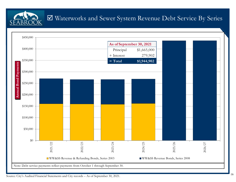Waterworks and Sewer System Revenue Debt Service By Series

![](_page_16_Figure_1.jpeg)

Source: City's Audited Financial Statements and City records – As of September 30, 2021.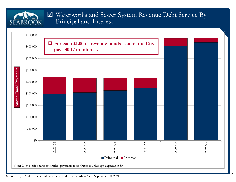#### Waterworks and Sewer System Revenue Debt Service By Principal and Interest

![](_page_17_Figure_1.jpeg)

SEABR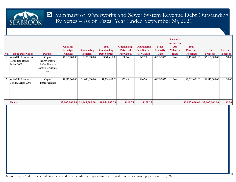![](_page_18_Picture_0.jpeg)

|                |                          |                      | Original         |                    | <b>Total</b>        | <b>Outstanding</b> | Outstanding         | <b>Final</b>    | <b>Partially</b><br><b>Secured by</b><br>Ad | <b>Total</b>    |                 |                 |
|----------------|--------------------------|----------------------|------------------|--------------------|---------------------|--------------------|---------------------|-----------------|---------------------------------------------|-----------------|-----------------|-----------------|
|                |                          |                      | <b>Principal</b> | <b>Outstanding</b> | <b>Outstanding</b>  | Principal          | <b>Debt Service</b> | <b>Maturity</b> | <b>Valorem</b>                              | <b>Proceeds</b> | <b>Spent</b>    | <b>Unspent</b>  |
| No.            | <b>Issue Description</b> | <b>Purpose</b>       | <b>Amount</b>    | Principal          | <b>Debt Service</b> | Per Capita         | Per Capita          | <b>Date</b>     | <b>Taxes</b>                                | <b>Received</b> | <b>Proceeds</b> | <b>Proceeds</b> |
|                | WW&SS Revenue &          | Capital              | \$2,195,000.00   | \$575,000.00       | \$640,415.00        | \$38.24            | \$42.59             | 08/01/2025      | N <sub>o</sub>                              | \$2,195,000.00  | \$2,195,000.00] | \$0.00          |
|                | Refunding Bonds,         | Improvements;        |                  |                    |                     |                    |                     |                 |                                             |                 |                 |                 |
|                | Series 2003              | Refunding at a       |                  |                    |                     |                    |                     |                 |                                             |                 |                 |                 |
|                |                          | lower interest rate, |                  |                    |                     |                    |                     |                 |                                             |                 |                 |                 |
|                |                          | etc.                 |                  |                    |                     |                    |                     |                 |                                             |                 |                 |                 |
|                |                          |                      |                  |                    |                     |                    |                     |                 |                                             |                 |                 |                 |
| $\overline{2}$ | WW&SS Revenue            | Capital              | \$1,612,000.00   | \$1,090,000.00     | \$1,304,487.20      | \$72.49            | \$86.76             | 08/01/2027      | No                                          | \$1,612,000.00  | \$1,612,000.00  | \$0.00          |
|                | Bonds, Series 2008       | Improvements         |                  |                    |                     |                    |                     |                 |                                             |                 |                 |                 |
|                |                          |                      |                  |                    |                     |                    |                     |                 |                                             |                 |                 |                 |
|                |                          |                      |                  |                    |                     |                    |                     |                 |                                             |                 |                 |                 |
|                |                          |                      |                  |                    |                     |                    |                     |                 |                                             |                 |                 |                 |
|                |                          |                      |                  |                    |                     |                    |                     |                 |                                             |                 |                 |                 |
|                |                          |                      |                  |                    |                     |                    |                     |                 |                                             |                 |                 |                 |
|                | <b>Totals:</b>           |                      | \$3,807,000.00   | \$1,665,000.00     | \$1,944,902.20      | \$110.73           | \$129.35            |                 |                                             | \$3,807,000.00  | \$3,807,000.00  | \$0.00          |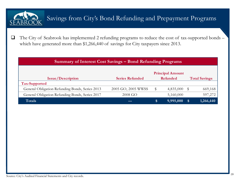![](_page_19_Picture_0.jpeg)

## Savings from City's Bond Refunding and Prepayment Programs

 $\Box$  The City of Seabrook has implemented <sup>2</sup> refunding programs to reduce the cost of tax-supported bonds – which have generated more than \$1,266,440 of savings for City taxpayers since 2013.

| Summary of Interest Cost Savings – Bond Refunding Programs |                                    |          |           |    |           |  |  |  |  |
|------------------------------------------------------------|------------------------------------|----------|-----------|----|-----------|--|--|--|--|
| <b>Principal Amount</b><br><b>Total Savings</b>            |                                    |          |           |    |           |  |  |  |  |
| <b>Issue/Description</b>                                   | <b>Series Refunded</b><br>Refunded |          |           |    |           |  |  |  |  |
| Tax-Supported                                              |                                    |          |           |    |           |  |  |  |  |
| General Obligation Refunding Bonds, Series 2013            | 2005 GO, 2005 WWSS                 | \$       | 4,835,000 |    | 669,168   |  |  |  |  |
| General Obligation Refunding Bonds, Series 2017            | 2008 GO                            |          | 5,160,000 |    | 597,272   |  |  |  |  |
| Totals                                                     | --                                 | <b>S</b> | 9,995,000 | 'S | 1,266,440 |  |  |  |  |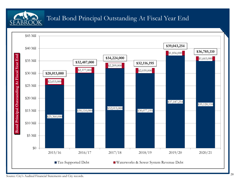![](_page_20_Picture_0.jpeg)

#### Total Bond Principal Outstanding At Fiscal Year End

![](_page_20_Figure_2.jpeg)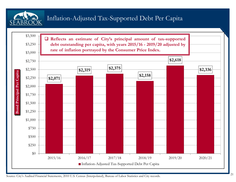![](_page_21_Picture_0.jpeg)

### Inflation-Adjusted Tax-Supported Debt Per Capita

![](_page_21_Figure_2.jpeg)

Source: City's Audited Financial Statements, 2010 U.S. Census (Interpolated), Bureau of Labor Statistics and City records.